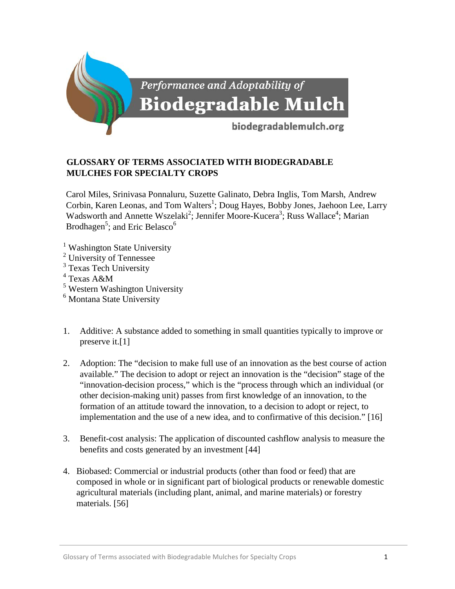

## **GLOSSARY OF TERMS ASSOCIATED WITH BIODEGRADABLE MULCHES FOR SPECIALTY CROPS**

Carol Miles, Srinivasa Ponnaluru, Suzette Galinato, Debra Inglis, Tom Marsh, Andrew Corbin, Karen Leonas, and Tom Walters<sup>1</sup>; Doug Hayes, Bobby Jones, Jaehoon Lee, Larry Wadsworth and Annette Wszelaki<sup>2</sup>; Jennifer Moore-Kucera<sup>3</sup>; Russ Wallace<sup>4</sup>; Marian Brodhagen<sup>5</sup>; and Eric Belasco<sup>6</sup>

- <sup>1</sup> Washington State University
- <sup>2</sup> University of Tennessee
- <sup>3</sup> Texas Tech University
- $4$  Texas A&M
- <sup>5</sup> Western Washington University
- <sup>6</sup> Montana State University
- 1. Additive: A substance added to something in small quantities typically to improve or preserve it.[1]
- 2. Adoption: The "decision to make full use of an innovation as the best course of action available." The decision to adopt or reject an innovation is the "decision" stage of the "innovation-decision process," which is the "process through which an individual (or other decision-making unit) passes from first knowledge of an innovation, to the formation of an attitude toward the innovation, to a decision to adopt or reject, to implementation and the use of a new idea, and to confirmative of this decision." [16]
- 3. Benefit-cost analysis: The application of discounted cashflow analysis to measure the benefits and costs generated by an investment [44]
- 4. Biobased: Commercial or industrial products (other than food or feed) that are composed in whole or in significant part of biological products or renewable domestic agricultural materials (including plant, animal, and marine materials) or forestry materials. [56]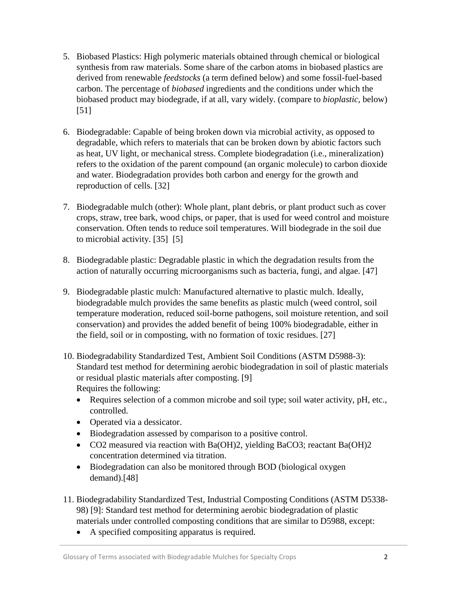- 5. Biobased Plastics: High polymeric materials obtained through chemical or biological synthesis from raw materials. Some share of the carbon atoms in biobased plastics are derived from renewable *feedstocks* (a term defined below) and some fossil-fuel-based carbon. The percentage of *biobased* ingredients and the conditions under which the biobased product may biodegrade, if at all, vary widely. (compare to *bioplastic,* below) [51]
- 6. Biodegradable: Capable of being broken down via microbial activity, as opposed to degradable, which refers to materials that can be broken down by abiotic factors such as heat, UV light, or mechanical stress. Complete biodegradation (i.e., mineralization) refers to the oxidation of the parent compound (an organic molecule) to carbon dioxide and water. Biodegradation provides both carbon and energy for the growth and reproduction of cells. [32]
- 7. Biodegradable mulch (other): Whole plant, plant debris, or plant product such as cover crops, straw, tree bark, wood chips, or paper, that is used for weed control and moisture conservation. Often tends to reduce soil temperatures. Will biodegrade in the soil due to microbial activity. [35] [5]
- 8. Biodegradable plastic: Degradable plastic in which the degradation results from the action of naturally occurring microorganisms such as bacteria, fungi, and algae. [47]
- 9. Biodegradable plastic mulch: Manufactured alternative to plastic mulch. Ideally, biodegradable mulch provides the same benefits as plastic mulch (weed control, soil temperature moderation, reduced soil-borne pathogens, soil moisture retention, and soil conservation) and provides the added benefit of being 100% biodegradable, either in the field, soil or in composting, with no formation of toxic residues. [27]
- 10. Biodegradability Standardized Test, Ambient Soil Conditions (ASTM D5988-3): Standard test method for determining aerobic biodegradation in soil of plastic materials or residual plastic materials after composting. [9] Requires the following:
	- Requires selection of a common microbe and soil type; soil water activity, pH, etc., controlled.
	- Operated via a dessicator.
	- Biodegradation assessed by comparison to a positive control.
	- CO2 measured via reaction with Ba(OH)2, yielding BaCO3; reactant Ba(OH)2 concentration determined via titration.
	- Biodegradation can also be monitored through BOD (biological oxygen demand).[48]
- 11. Biodegradability Standardized Test, Industrial Composting Conditions (ASTM D5338- 98) [9]: Standard test method for determining aerobic biodegradation of plastic materials under controlled composting conditions that are similar to D5988, except:
	- A specified compositing apparatus is required.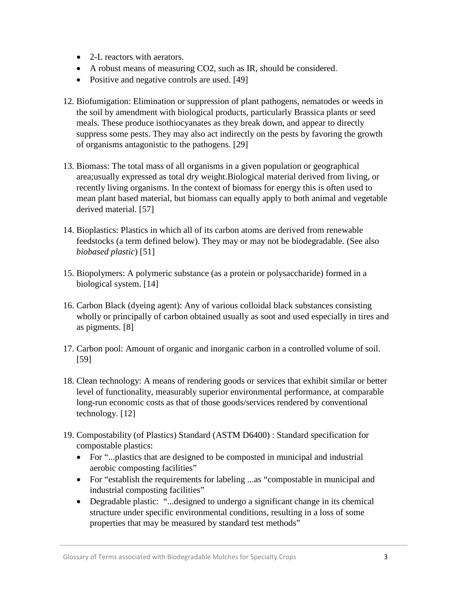- 2-L reactors with aerators.
- A robust means of measuring CO2, such as IR, should be considered.
- Positive and negative controls are used. [49]
- 12. Biofumigation: Elimination or suppression of plant pathogens, nematodes or weeds in the soil by amendment with biological products, particularly Brassica plants or seed meals. These produce isothiocyanates as they break down, and appear to directly suppress some pests. They may also act indirectly on the pests by favoring the growth of organisms antagonistic to the pathogens. [29]
- 13. Biomass: The total mass of all organisms in a given population or geographical area;usually expressed as total dry weight.Biological material derived from living, or recently living organisms. In the context of biomass for energy this is often used to mean plant based material, but biomass can equally apply to both animal and vegetable derived material. [57]
- 14. Bioplastics: Plastics in which all of its carbon atoms are derived from renewable feedstocks (a term defined below). They may or may not be biodegradable. (See also *biobased plastic*) [51]
- 15. Biopolymers: A polymeric substance (as a protein or polysaccharide) formed in a biological system. [14]
- 16. Carbon Black (dyeing agent): Any of various colloidal black substances consisting wholly or principally of carbon obtained usually as soot and used especially in tires and as pigments. [8]
- 17. Carbon pool: Amount of organic and inorganic carbon in a controlled volume of soil. [59]
- 18. Clean technology: A means of rendering goods or services that exhibit similar or better level of functionality, measurably superior environmental performance, at comparable long-run economic costs as that of those goods/services rendered by conventional technology. [12]
- 19. Compostability (of Plastics) Standard (ASTM D6400) : Standard specification for compostable plastics:
	- For "...plastics that are designed to be composted in municipal and industrial aerobic composting facilities"
	- For "establish the requirements for labeling ...as "compostable in municipal and industrial composting facilities"
	- Degradable plastic: "...designed to undergo a significant change in its chemical structure under specific environmental conditions, resulting in a loss of some properties that may be measured by standard test methods"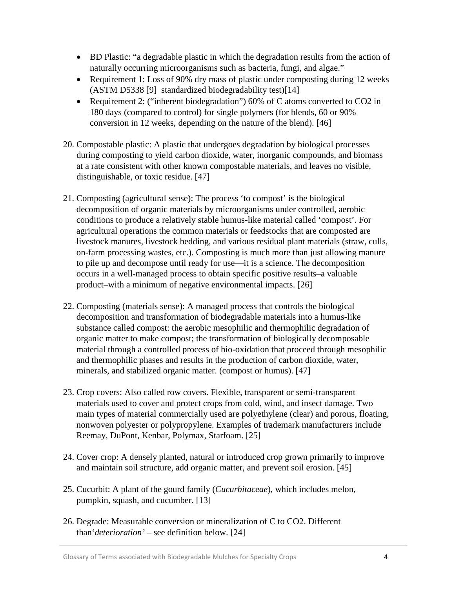- BD Plastic: "a degradable plastic in which the degradation results from the action of naturally occurring microorganisms such as bacteria, fungi, and algae."
- Requirement 1: Loss of 90% dry mass of plastic under composting during 12 weeks (ASTM D5338 [9] standardized biodegradability test)[14]
- Requirement 2: ("inherent biodegradation") 60% of C atoms converted to CO2 in 180 days (compared to control) for single polymers (for blends, 60 or 90% conversion in 12 weeks, depending on the nature of the blend). [46]
- 20. Compostable plastic: A plastic that undergoes degradation by biological processes during composting to yield carbon dioxide, water, inorganic compounds, and biomass at a rate consistent with other known compostable materials, and leaves no visible, distinguishable, or toxic residue. [47]
- 21. Composting (agricultural sense): The process 'to compost' is the biological decomposition of organic materials by microorganisms under controlled, aerobic conditions to produce a relatively stable humus-like material called 'compost'. For agricultural operations the common materials or feedstocks that are composted are livestock manures, livestock bedding, and various residual plant materials (straw, culls, on-farm processing wastes, etc.). Composting is much more than just allowing manure to pile up and decompose until ready for use—it is a science. The decomposition occurs in a well-managed process to obtain specific positive results–a valuable product–with a minimum of negative environmental impacts. [26]
- 22. Composting (materials sense): A managed process that controls the biological decomposition and transformation of biodegradable materials into a humus-like substance called compost: the aerobic mesophilic and thermophilic degradation of organic matter to make compost; the transformation of biologically decomposable material through a controlled process of bio-oxidation that proceed through mesophilic and thermophilic phases and results in the production of carbon dioxide, water, minerals, and stabilized organic matter. (compost or humus). [47]
- 23. Crop covers: Also called row covers. Flexible, transparent or semi-transparent materials used to cover and protect crops from cold, wind, and insect damage. Two main types of material commercially used are polyethylene (clear) and porous, floating, nonwoven polyester or polypropylene. Examples of trademark manufacturers include Reemay, DuPont, Kenbar, Polymax, Starfoam. [25]
- 24. Cover crop: A densely planted, natural or introduced crop grown primarily to improve and maintain soil structure, add organic matter, and prevent soil erosion. [45]
- 25. Cucurbit: A plant of the gourd family (*Cucurbitaceae*), which includes melon, pumpkin, squash, and cucumber. [13]
- 26. Degrade: Measurable conversion or mineralization of C to CO2. Different than'*deterioration'* – see definition below. [24]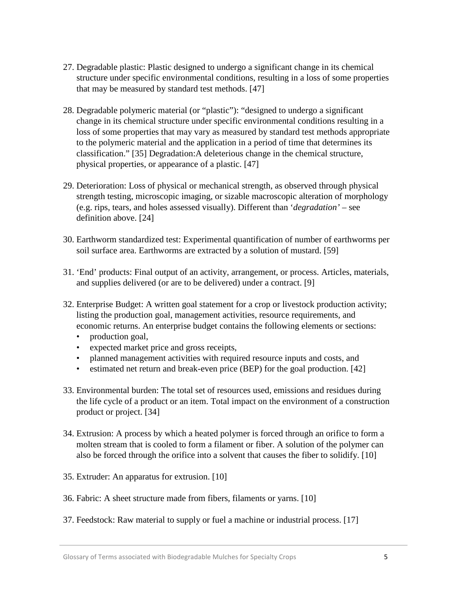- 27. Degradable plastic: Plastic designed to undergo a significant change in its chemical structure under specific environmental conditions, resulting in a loss of some properties that may be measured by standard test methods. [47]
- 28. Degradable polymeric material (or "plastic"): "designed to undergo a significant change in its chemical structure under specific environmental conditions resulting in a loss of some properties that may vary as measured by standard test methods appropriate to the polymeric material and the application in a period of time that determines its classification." [35] Degradation:A deleterious change in the chemical structure, physical properties, or appearance of a plastic. [47]
- 29. Deterioration: Loss of physical or mechanical strength, as observed through physical strength testing, microscopic imaging, or sizable macroscopic alteration of morphology (e.g. rips, tears, and holes assessed visually). Different than '*degradation'* – see definition above. [24]
- 30. Earthworm standardized test: Experimental quantification of number of earthworms per soil surface area. Earthworms are extracted by a solution of mustard. [59]
- 31. 'End' products: Final output of an activity, arrangement, or process. Articles, materials, and supplies delivered (or are to be delivered) under a contract. [9]
- 32. Enterprise Budget: A written goal statement for a crop or livestock production activity; listing the production goal, management activities, resource requirements, and economic returns. An enterprise budget contains the following elements or sections:
	- production goal,
	- expected market price and gross receipts,
	- planned management activities with required resource inputs and costs, and
	- estimated net return and break-even price (BEP) for the goal production. [42]
- 33. Environmental burden: The total set of resources used, emissions and residues during the life cycle of a product or an item. Total impact on the environment of a construction product or project. [34]
- 34. Extrusion: A process by which a heated polymer is forced through an orifice to form a molten stream that is cooled to form a filament or fiber. A solution of the polymer can also be forced through the orifice into a solvent that causes the fiber to solidify. [10]
- 35. Extruder: An apparatus for extrusion. [10]
- 36. Fabric: A sheet structure made from fibers, filaments or yarns. [10]
- 37. Feedstock: Raw material to supply or fuel a machine or industrial process. [17]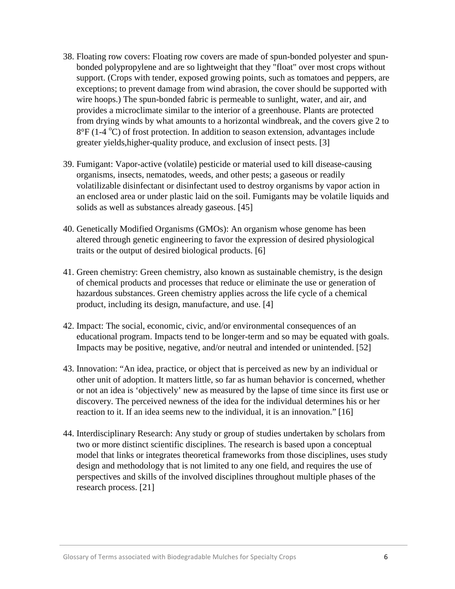- 38. Floating row covers: Floating row covers are made of spun-bonded polyester and spunbonded polypropylene and are so lightweight that they "float" over most crops without support. (Crops with tender, exposed growing points, such as tomatoes and peppers, are exceptions; to prevent damage from wind abrasion, the cover should be supported with wire hoops.) The spun-bonded fabric is permeable to sunlight, water, and air, and provides a microclimate similar to the interior of a greenhouse. Plants are protected from drying winds by what amounts to a horizontal windbreak, and the covers give 2 to 8°F (1-4 °C) of frost protection. In addition to season extension, advantages include greater yields,higher-quality produce, and exclusion of insect pests. [3]
- 39. Fumigant: Vapor-active (volatile) pesticide or material used to kill disease-causing organisms, insects, nematodes, weeds, and other pests; a gaseous or readily volatilizable disinfectant or disinfectant used to destroy organisms by vapor action in an enclosed area or under plastic laid on the soil. Fumigants may be volatile liquids and solids as well as substances already gaseous. [45]
- 40. Genetically Modified Organisms (GMOs): An organism whose genome has been altered through genetic engineering to favor the expression of desired physiological traits or the output of desired biological products. [6]
- 41. Green chemistry: Green chemistry, also known as sustainable chemistry, is the design of chemical products and processes that reduce or eliminate the use or generation of hazardous substances. Green chemistry applies across the life cycle of a chemical product, including its design, manufacture, and use. [4]
- 42. Impact: The social, economic, civic, and/or environmental consequences of an educational program. Impacts tend to be longer-term and so may be equated with goals. Impacts may be positive, negative, and/or neutral and intended or unintended. [52]
- 43. Innovation: "An idea, practice, or object that is perceived as new by an individual or other unit of adoption. It matters little, so far as human behavior is concerned, whether or not an idea is 'objectively' new as measured by the lapse of time since its first use or discovery. The perceived newness of the idea for the individual determines his or her reaction to it. If an idea seems new to the individual, it is an innovation." [16]
- 44. Interdisciplinary Research: Any study or group of studies undertaken by scholars from two or more distinct scientific disciplines. The research is based upon a conceptual model that links or integrates theoretical frameworks from those disciplines, uses study design and methodology that is not limited to any one field, and requires the use of perspectives and skills of the involved disciplines throughout multiple phases of the research process. [21]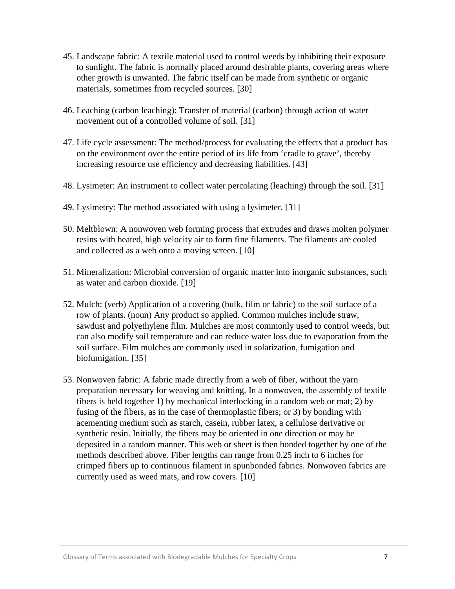- 45. Landscape fabric: A textile material used to control weeds by inhibiting their exposure to sunlight. The fabric is normally placed around desirable plants, covering areas where other growth is unwanted. The fabric itself can be made from synthetic or organic materials, sometimes from recycled sources. [30]
- 46. Leaching (carbon leaching): Transfer of material (carbon) through action of water movement out of a controlled volume of soil. [31]
- 47. Life cycle assessment: The method/process for evaluating the effects that a product has on the environment over the entire period of its life from 'cradle to grave', thereby increasing resource use efficiency and decreasing liabilities. [43]
- 48. Lysimeter: An instrument to collect water percolating (leaching) through the soil. [31]
- 49. Lysimetry: The method associated with using a lysimeter. [31]
- 50. Meltblown: A nonwoven web forming process that extrudes and draws molten polymer resins with heated, high velocity air to form fine filaments. The filaments are cooled and collected as a web onto a moving screen. [10]
- 51. Mineralization: Microbial conversion of organic matter into inorganic substances, such as water and carbon dioxide. [19]
- 52. Mulch: (verb) Application of a covering (bulk, film or fabric) to the soil surface of a row of plants. (noun) Any product so applied. Common mulches include straw, sawdust and polyethylene film. Mulches are most commonly used to control weeds, but can also modify soil temperature and can reduce water loss due to evaporation from the soil surface. Film mulches are commonly used in solarization, fumigation and biofumigation. [35]
- 53. Nonwoven fabric: A fabric made directly from a web of fiber, without the yarn preparation necessary for weaving and knitting. In a nonwoven, the assembly of textile fibers is held together 1) by mechanical interlocking in a random web or mat; 2) by fusing of the fibers, as in the case of thermoplastic fibers; or 3) by bonding with acementing medium such as starch, casein, rubber latex, a cellulose derivative or synthetic resin. Initially, the fibers may be oriented in one direction or may be deposited in a random manner. This web or sheet is then bonded together by one of the methods described above. Fiber lengths can range from 0.25 inch to 6 inches for crimped fibers up to continuous filament in spunbonded fabrics. Nonwoven fabrics are currently used as weed mats, and row covers. [10]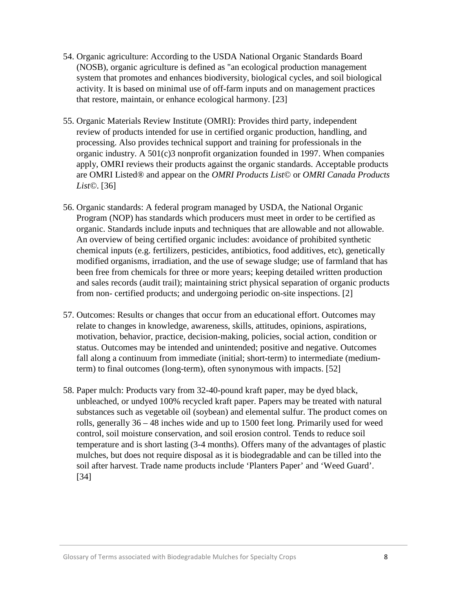- 54. Organic agriculture: According to the USDA National Organic Standards Board (NOSB), organic agriculture is defined as "an ecological production management system that promotes and enhances biodiversity, biological cycles, and soil biological activity. It is based on minimal use of off-farm inputs and on management practices that restore, maintain, or enhance ecological harmony. [23]
- 55. Organic Materials Review Institute (OMRI): Provides third party, independent review of products intended for use in certified organic production, handling, and processing. Also provides technical support and training for professionals in the organic industry. A 501(c)3 nonprofit organization founded in 1997. When companies apply, OMRI reviews their products against the organic standards. Acceptable products are OMRI Listed® and appear on the *OMRI Products List*© or *OMRI Canada Products List©*. [36]
- 56. Organic standards: A federal program managed by USDA, the National Organic Program (NOP) has standards which producers must meet in order to be certified as organic. Standards include inputs and techniques that are allowable and not allowable. An overview of being certified organic includes: avoidance of prohibited synthetic chemical inputs (e.g. fertilizers, pesticides, antibiotics, food additives, etc), genetically modified organisms, irradiation, and the use of sewage sludge; use of farmland that has been free from chemicals for three or more years; keeping detailed written production and sales records (audit trail); maintaining strict physical separation of organic products from non- certified products; and undergoing periodic on-site inspections. [2]
- 57. Outcomes: Results or changes that occur from an educational effort. Outcomes may relate to changes in knowledge, awareness, skills, attitudes, opinions, aspirations, motivation, behavior, practice, decision-making, policies, social action, condition or status. Outcomes may be intended and unintended; positive and negative. Outcomes fall along a continuum from immediate (initial; short-term) to intermediate (mediumterm) to final outcomes (long-term), often synonymous with impacts. [52]
- 58. Paper mulch: Products vary from 32-40-pound kraft paper, may be dyed black, unbleached, or undyed 100% recycled kraft paper. Papers may be treated with natural substances such as vegetable oil (soybean) and elemental sulfur. The product comes on rolls, generally 36 – 48 inches wide and up to 1500 feet long. Primarily used for weed control, soil moisture conservation, and soil erosion control. Tends to reduce soil temperature and is short lasting (3-4 months). Offers many of the advantages of plastic mulches, but does not require disposal as it is biodegradable and can be tilled into the soil after harvest. Trade name products include 'Planters Paper' and 'Weed Guard'. [34]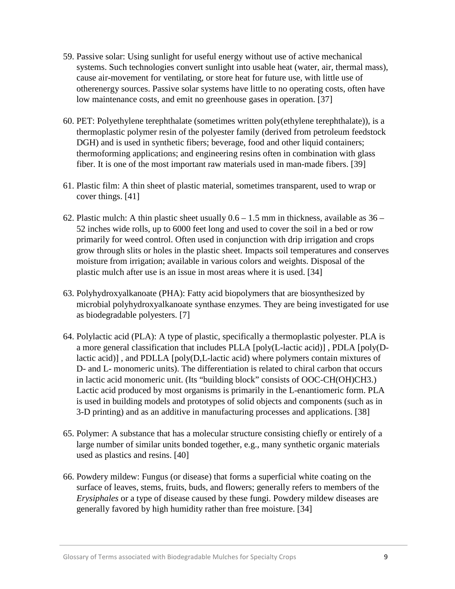- 59. Passive solar: Using sunlight for useful energy without use of active mechanical systems. Such technologies convert sunlight into usable heat (water, air, thermal mass), cause air-movement for ventilating, or store heat for future use, with little use of otherenergy sources. Passive solar systems have little to no operating costs, often have low maintenance costs, and emit no greenhouse gases in operation. [37]
- 60. PET: Polyethylene terephthalate (sometimes written poly(ethylene terephthalate)), is a thermoplastic polymer resin of the polyester family (derived from petroleum feedstock DGH) and is used in synthetic fibers; beverage, food and other liquid containers; thermoforming applications; and engineering resins often in combination with glass fiber. It is one of the most important raw materials used in man-made fibers. [39]
- 61. Plastic film: A thin sheet of plastic material, sometimes transparent, used to wrap or cover things. [41]
- 62. Plastic mulch: A thin plastic sheet usually  $0.6 1.5$  mm in thickness, available as  $36 -$ 52 inches wide rolls, up to 6000 feet long and used to cover the soil in a bed or row primarily for weed control. Often used in conjunction with drip irrigation and crops grow through slits or holes in the plastic sheet. Impacts soil temperatures and conserves moisture from irrigation; available in various colors and weights. Disposal of the plastic mulch after use is an issue in most areas where it is used. [34]
- 63. Polyhydroxyalkanoate (PHA): Fatty acid biopolymers that are biosynthesized by microbial polyhydroxyalkanoate synthase enzymes. They are being investigated for use as biodegradable polyesters. [7]
- 64. Polylactic acid (PLA): A type of plastic, specifically a thermoplastic polyester. PLA is a more general classification that includes PLLA [poly(L-lactic acid)] , PDLA [poly(Dlactic acid)] , and PDLLA [poly(D,L-lactic acid) where polymers contain mixtures of D- and L- monomeric units). The differentiation is related to chiral carbon that occurs in lactic acid monomeric unit. (Its "building block" consists of OOC-CH(OH)CH3.) Lactic acid produced by most organisms is primarily in the L-enantiomeric form. PLA is used in building models and prototypes of solid objects and components (such as in 3-D printing) and as an additive in manufacturing processes and applications. [38]
- 65. Polymer: A substance that has a molecular structure consisting chiefly or entirely of a large number of similar units bonded together, e.g., many synthetic organic materials used as plastics and resins. [40]
- 66. Powdery mildew: Fungus (or disease) that forms a superficial white coating on the surface of leaves, stems, fruits, buds, and flowers; generally refers to members of the *Erysiphales* or a type of disease caused by these fungi. Powdery mildew diseases are generally favored by high humidity rather than free moisture. [34]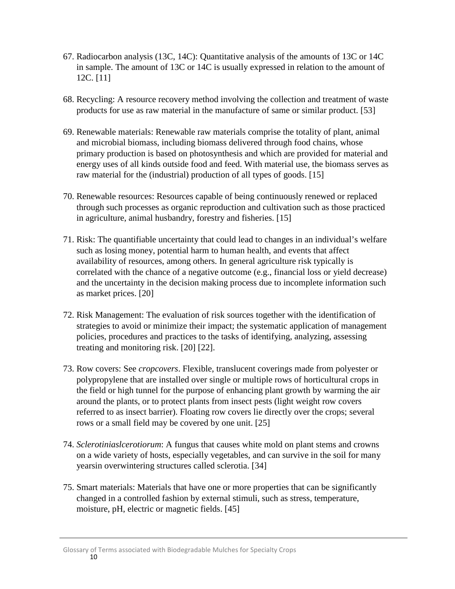- 67. Radiocarbon analysis (13C, 14C): Quantitative analysis of the amounts of 13C or 14C in sample. The amount of 13C or 14C is usually expressed in relation to the amount of 12C. [11]
- 68. Recycling: A resource recovery method involving the collection and treatment of waste products for use as raw material in the manufacture of same or similar product. [53]
- 69. Renewable materials: Renewable raw materials comprise the totality of plant, animal and microbial biomass, including biomass delivered through food chains, whose primary production is based on photosynthesis and which are provided for material and energy uses of all kinds outside food and feed. With material use, the biomass serves as raw material for the (industrial) production of all types of goods. [15]
- 70. Renewable resources: Resources capable of being continuously renewed or replaced through such processes as organic reproduction and cultivation such as those practiced in agriculture, animal husbandry, forestry and fisheries. [15]
- 71. Risk: The quantifiable uncertainty that could lead to changes in an individual's welfare such as losing money, potential harm to human health, and events that affect availability of resources, among others. In general agriculture risk typically is correlated with the chance of a negative outcome (e.g., financial loss or yield decrease) and the uncertainty in the decision making process due to incomplete information such as market prices. [20]
- 72. Risk Management: The evaluation of risk sources together with the identification of strategies to avoid or minimize their impact; the systematic application of management policies, procedures and practices to the tasks of identifying, analyzing, assessing treating and monitoring risk. [20] [22].
- 73. Row covers: See *cropcovers*. Flexible, translucent coverings made from polyester or polypropylene that are installed over single or multiple rows of horticultural crops in the field or high tunnel for the purpose of enhancing plant growth by warming the air around the plants, or to protect plants from insect pests (light weight row covers referred to as insect barrier). Floating row covers lie directly over the crops; several rows or a small field may be covered by one unit. [25]
- 74. *Sclerotiniaslcerotiorum*: A fungus that causes white mold on plant stems and crowns on a wide variety of hosts, especially vegetables, and can survive in the soil for many yearsin overwintering structures called sclerotia. [34]
- 75. Smart materials: Materials that have one or more properties that can be significantly changed in a controlled fashion by external stimuli, such as stress, temperature, moisture, pH, electric or magnetic fields. [45]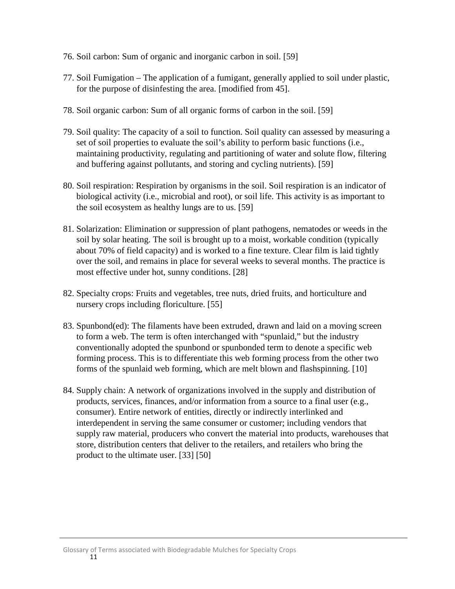- 76. Soil carbon: Sum of organic and inorganic carbon in soil. [59]
- 77. Soil Fumigation The application of a fumigant, generally applied to soil under plastic, for the purpose of disinfesting the area. [modified from 45].
- 78. Soil organic carbon: Sum of all organic forms of carbon in the soil. [59]
- 79. Soil quality: The capacity of a soil to function. Soil quality can assessed by measuring a set of soil properties to evaluate the soil's ability to perform basic functions (i.e., maintaining productivity, regulating and partitioning of water and solute flow, filtering and buffering against pollutants, and storing and cycling nutrients). [59]
- 80. Soil respiration: Respiration by organisms in the soil. Soil respiration is an indicator of biological activity (i.e., microbial and root), or soil life. This activity is as important to the soil ecosystem as healthy lungs are to us. [59]
- 81. Solarization: Elimination or suppression of plant pathogens, nematodes or weeds in the soil by solar heating. The soil is brought up to a moist, workable condition (typically about 70% of field capacity) and is worked to a fine texture. Clear film is laid tightly over the soil, and remains in place for several weeks to several months. The practice is most effective under hot, sunny conditions. [28]
- 82. Specialty crops: Fruits and vegetables, tree nuts, dried fruits, and horticulture and nursery crops including floriculture. [55]
- 83. Spunbond(ed): The filaments have been extruded, drawn and laid on a moving screen to form a web. The term is often interchanged with "spunlaid," but the industry conventionally adopted the spunbond or spunbonded term to denote a specific web forming process. This is to differentiate this web forming process from the other two forms of the spunlaid web forming, which are melt blown and flashspinning. [10]
- 84. Supply chain: A network of organizations involved in the supply and distribution of products, services, finances, and/or information from a source to a final user (e.g., consumer). Entire network of entities, directly or indirectly interlinked and interdependent in serving the same consumer or customer; including vendors that supply raw material, producers who convert the material into products, warehouses that store, distribution centers that deliver to the retailers, and retailers who bring the product to the ultimate user. [33] [50]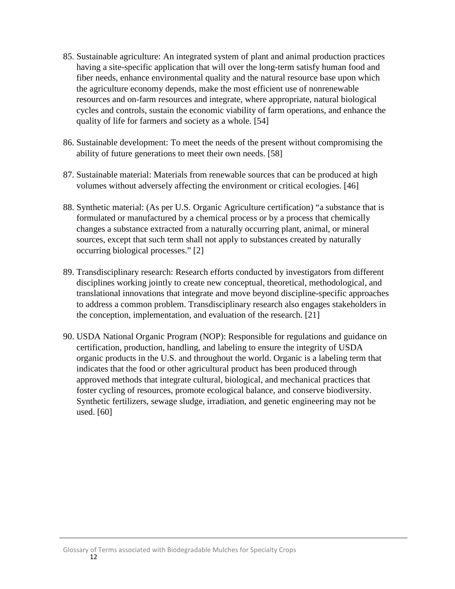- 85. Sustainable agriculture: An integrated system of plant and animal production practices having a site-specific application that will over the long-term satisfy human food and fiber needs, enhance environmental quality and the natural resource base upon which the agriculture economy depends, make the most efficient use of nonrenewable resources and on-farm resources and integrate, where appropriate, natural biological cycles and controls, sustain the economic viability of farm operations, and enhance the quality of life for farmers and society as a whole. [54]
- 86. Sustainable development: To meet the needs of the present without compromising the ability of future generations to meet their own needs. [58]
- 87. Sustainable material: Materials from renewable sources that can be produced at high volumes without adversely affecting the environment or critical ecologies. [46]
- 88. Synthetic material: (As per U.S. Organic Agriculture certification) "a substance that is formulated or manufactured by a chemical process or by a process that chemically changes a substance extracted from a naturally occurring plant, animal, or mineral sources, except that such term shall not apply to substances created by naturally occurring biological processes." [2]
- 89. Transdisciplinary research: Research efforts conducted by investigators from different disciplines working jointly to create new conceptual, theoretical, methodological, and translational innovations that integrate and move beyond discipline-specific approaches to address a common problem. Transdisciplinary research also engages stakeholders in the conception, implementation, and evaluation of the research. [21]
- 90. USDA National Organic Program (NOP): Responsible for regulations and guidance on certification, production, handling, and labeling to ensure the integrity of USDA organic products in the U.S. and throughout the world. Organic is a labeling term that indicates that the food or other agricultural product has been produced through approved methods that integrate cultural, biological, and mechanical practices that foster cycling of resources, promote ecological balance, and conserve biodiversity. Synthetic fertilizers, sewage sludge, irradiation, and genetic engineering may not be used. [60]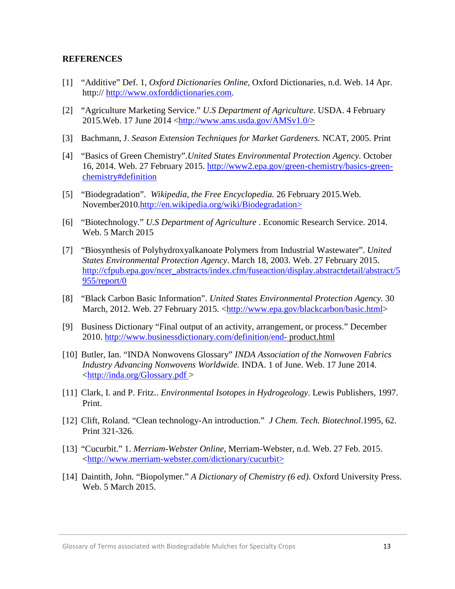## **REFERENCES**

- [1] "Additive" Def. 1, *Oxford Dictionaries Online,* Oxford Dictionaries, n.d. Web. 14 Apr. http:// [http://www.oxforddictionaries.com.](http://www.oxforddictionaries.com/)
- [2] "Agriculture Marketing Service." *U.S Department of Agriculture.* USDA. 4 February 2015.Web. 17 June 2014 [<http://www.ams.usda.gov/AMSv1.0/>](http://www.ams.usda.gov/AMSv1.0/)
- [3] Bachmann, J. *Season Extension Techniques for Market Gardeners.* NCAT, 2005. Print
- [4] "Basics of Green Chemistry".*United States Environmental Protection Agency.* October 16, 2014. Web. 27 February 2015. [http://www2.epa.gov/green-chemistry/basics-green](http://www2.epa.gov/green-chemistry/basics-green-chemistry#definition)[chemistry#definition](http://www2.epa.gov/green-chemistry/basics-green-chemistry#definition)
- [5] "Biodegradation". *Wikipedia, the Free Encyclopedia.* 26 February 2015.Web. November2010[.http://en.wikipedia.org/wiki/Biodegradation>](http://en.wikipedia.org/wiki/Biodegradation)
- [6] "Biotechnology." *U.S Department of Agriculture* . Economic Research Service. 2014. Web. 5 March 2015
- [7] "Biosynthesis of Polyhydroxyalkanoate Polymers from Industrial Wastewater". *United States Environmental Protection Agency*. March 18, 2003. Web. 27 February 2015. [http://cfpub.epa.gov/ncer\\_abstracts/index.cfm/fuseaction/display.abstractdetail/abstract/5](http://cfpub.epa.gov/ncer_abstracts/index.cfm/fuseaction/display.abstractdetail/abstract/5955/report/0) [955/report/0](http://cfpub.epa.gov/ncer_abstracts/index.cfm/fuseaction/display.abstractdetail/abstract/5955/report/0)
- [8] "Black Carbon Basic Information". *United States Environmental Protection Agency.* 30 March, 2012. Web. 27 February 2015. [<http://www.epa.gov/blackcarbon/basic.html>](http://www.epa.gov/blackcarbon/basic.html)
- [9] Business Dictionary "Final output of an activity, arrangement, or process." December 2010.<http://www.businessdictionary.com/definition/end-> product.html
- [10] Butler, Ian. "INDA Nonwovens Glossary" *INDA Association of the Nonwoven Fabrics Industry Advancing Nonwovens Worldwide.* INDA. 1 of June. Web. 17 June 2014. [<http://inda.org/Glossary.pdf >](http://inda.org/Glossary.pdf)
- [11] Clark, I. and P. Fritz.. *Environmental Isotopes in Hydrogeology*. Lewis Publishers, 1997. Print.
- [12] Clift, Roland. "Clean technology-An introduction." *J Chem. Tech. Biotechnol*.1995, 62. Print 321-326.
- [13] "Cucurbit." 1. *Merriam-Webster Online,* Merriam-Webster, n.d. Web. 27 Feb. 2015. [<http://www.merriam-webster.com/dictionary/cucurbit>](http://www.merriam-webster.com/dictionary/cucurbit)
- [14] Daintith, John. "Biopolymer." *A Dictionary of Chemistry (6 ed).* Oxford University Press. Web. 5 March 2015.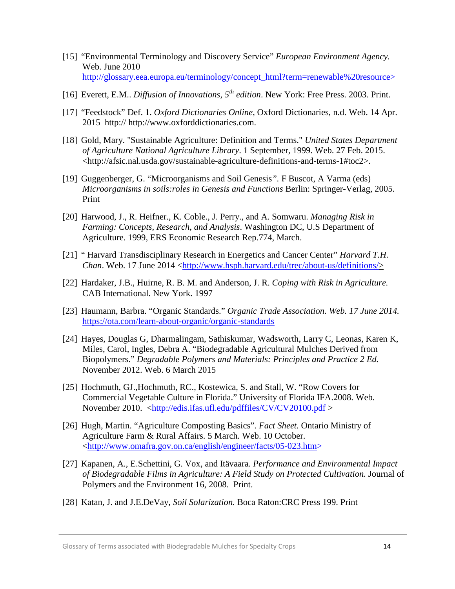- [15] "Environmental Terminology and Discovery Service" *European Environment Agency.*  Web. June 2010 [http://glossary.eea.europa.eu/terminology/concept\\_html?term=renewable%20resource>](http://glossary.eea.europa.eu/terminology/concept_html?term=renewable%20resource%3e%20)
- [16] Everett, E.M.. *Diffusion of Innovations, 5th edition*. New York: Free Press. 2003. Print.
- [17] "Feedstock" Def. 1. *Oxford Dictionaries Online,* Oxford Dictionaries, n.d. Web. 14 Apr. 2015 http:// http://www.oxforddictionaries.com.
- [18] Gold, Mary. "Sustainable Agriculture: Definition and Terms." *United States Department of Agriculture National Agriculture Library*. 1 September, 1999. Web. 27 Feb. 2015. <http://afsic.nal.usda.gov/sustainable-agriculture-definitions-and-terms-1#toc2>.
- [19] Guggenberger, G. "Microorganisms and Soil Genesis*".* F Buscot, A Varma (eds) *Microorganisms in soils:roles in Genesis and Functions* Berlin: Springer-Verlag, 2005. Print
- [20] Harwood, J., R. Heifner., K. Coble., J. Perry., and A. Somwaru. *Managing Risk in Farming: Concepts, Research, and Analysis*. Washington DC, U.S Department of Agriculture. 1999, ERS Economic Research Rep.774, March.
- [21] " Harvard Transdisciplinary Research in Energetics and Cancer Center" *Harvard T.H. Chan*. Web. 17 June 2014 [<http://www.hsph.harvard.edu/trec/about-us/definitions/>](http://www.hsph.harvard.edu/trec/about-us/definitions/)
- [22] Hardaker, J.B., Huirne, R. B. M. and Anderson, J. R. *Coping with Risk in Agriculture.* CAB International. New York. 1997
- [23] Haumann, Barbra. "Organic Standards." *Organic Trade Association. Web. 17 June 2014.*  <https://ota.com/learn-about-organic/organic-standards>
- [24] Hayes, Douglas G, Dharmalingam, Sathiskumar, Wadsworth, Larry C, Leonas, Karen K, Miles, Carol, Ingles, Debra A. "Biodegradable Agricultural Mulches Derived from Biopolymers." *Degradable Polymers and Materials: Principles and Practice 2 Ed.*  November 2012. Web. 6 March 2015
- [25] Hochmuth, GJ.,Hochmuth, RC., Kostewica, S. and Stall, W. "Row Covers for Commercial Vegetable Culture in Florida." University of Florida IFA.2008. Web. November 2010. [<http://edis.ifas.ufl.edu/pdffiles/CV/CV20100.pdf >](http://edis.ifas.ufl.edu/pdffiles/CV/CV20100.pdf)
- [26] Hugh, Martin. "Agriculture Composting Basics". *Fact Sheet.* Ontario Ministry of Agriculture Farm & Rural Affairs. 5 March. Web. 10 October. [<http://www.omafra.gov.on.ca/english/engineer/facts/05-023.htm>](http://www.omafra.gov.on.ca/english/engineer/facts/05-023.htm)
- [27] Kapanen, A., E.Schettini, G. Vox, and Itävaara. *Performance and Environmental Impact of Biodegradable Films in Agriculture: A Field Study on Protected Cultivation.* Journal of Polymers and the Environment 16, 2008. Print.
- [28] Katan, J. and J.E.DeVay, *Soil Solarization.* Boca Raton:CRC Press 199. Print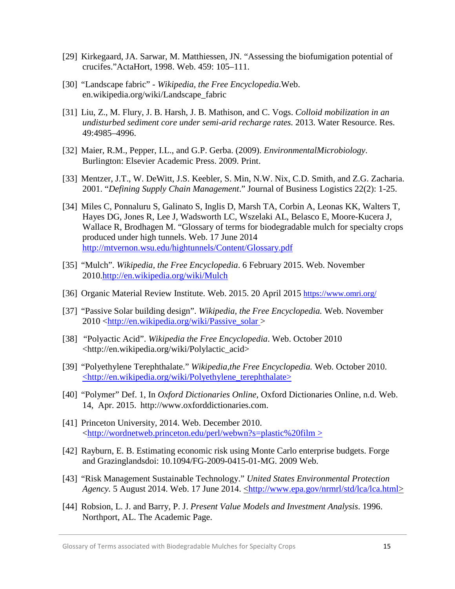- [29] Kirkegaard, JA. Sarwar, M. Matthiessen, JN. "Assessing the biofumigation potential of crucifes."ActaHort, 1998. Web. 459: 105–111.
- [30] "Landscape fabric" *Wikipedia, the Free Encyclopedia*.Web. en.wikipedia.org/wiki/Landscape\_fabric
- [31] Liu, Z., M. Flury, J. B. Harsh, J. B. Mathison, and C. Vogs. *Colloid mobilization in an undisturbed sediment core under semi-arid recharge rates.* 2013. Water Resource. Res. 49:4985–4996.
- [32] Maier, R.M., Pepper, I.L., and G.P. Gerba. (2009). *EnvironmentalMicrobiology*. Burlington: Elsevier Academic Press. 2009. Print.
- [33] Mentzer, J.T., W. DeWitt, J.S. Keebler, S. Min, N.W. Nix, C.D. Smith, and Z.G. Zacharia. 2001. "*Defining Supply Chain Management*." Journal of Business Logistics 22(2): 1-25.
- [34] Miles C, Ponnaluru S, Galinato S, Inglis D, Marsh TA, Corbin A, Leonas KK, Walters T, Hayes DG, Jones R, Lee J, Wadsworth LC, Wszelaki AL, Belasco E, Moore-Kucera J, Wallace R, Brodhagen M. "Glossary of terms for biodegradable mulch for specialty crops produced under high tunnels. Web. 17 June 2014 <http://mtvernon.wsu.edu/hightunnels/Content/Glossary.pdf>
- [35] "Mulch". *Wikipedia, the Free Encyclopedia*. 6 February 2015. Web. November 2010[.http://en.wikipedia.org/wiki/Mulch](http://en.wikipedia.org/wiki/Mulch)
- [36] Organic Material Review Institute. Web. 2015. 20 April 2015<https://www.omri.org/>
- [37] "Passive Solar building design". *Wikipedia, the Free Encyclopedia.* Web. November 2010 [<http://en.wikipedia.org/wiki/Passive\\_solar >](http://en.wikipedia.org/wiki/Passive_solar)
- [38] "Polyactic Acid". *Wikipedia the Free Encyclopedia*. Web. October 2010 <http://en.wikipedia.org/wiki/Polylactic\_acid>
- [39] "Polyethylene Terephthalate." *Wikipedia,the Free Encyclopedia.* Web. October 2010. <http://en.wikipedia.org/wiki/Polyethylene\_terephthalate>
- [40] "Polymer" Def. 1, In *Oxford Dictionaries Online*, Oxford Dictionaries Online, n.d. Web. 14, Apr. 2015. http://www.oxforddictionaries.com.
- [41] Princeton University, 2014. Web. December 2010. [<http://wordnetweb.princeton.edu/perl/webwn?s=plastic%20film >](http://wordnetweb.princeton.edu/perl/webwn?s=plastic%20film)
- [42] Rayburn, E. B. Estimating economic risk using Monte Carlo enterprise budgets. Forge and Grazinglandsdoi: 10.1094/FG-2009-0415-01-MG. 2009 Web.
- [43] "Risk Management Sustainable Technology." *United States Environmental Protection Agency*. 5 August 2014. Web. 17 June 2014. **http://www.epa.gov/nrmrl/std/lca/lca.html>**
- [44] Robsion, L. J. and Barry, P. J. *Present Value Models and Investment Analysis*. 1996. Northport, AL. The Academic Page.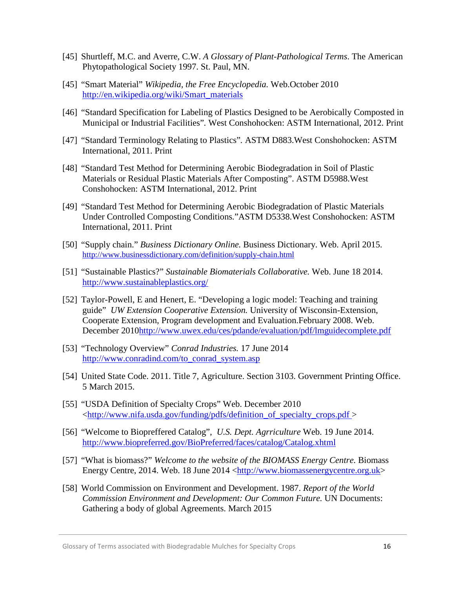- [45] Shurtleff, M.C. and Averre, C.W. *A Glossary of Plant-Pathological Terms*. The American Phytopathological Society 1997. St. Paul, MN.
- [45] "Smart Material" *Wikipedia, the Free Encyclopedia.* Web.October 2010 [http://en.wikipedia.org/wiki/Smart\\_materials](http://en.wikipedia.org/wiki/Smart_materials)
- [46] "Standard Specification for Labeling of Plastics Designed to be Aerobically Composted in Municipal or Industrial Facilities"*.* West Conshohocken: ASTM International, 2012. Print
- [47] "Standard Terminology Relating to Plastics"*.* ASTM D883.West Conshohocken: ASTM International, 2011. Print
- [48] "Standard Test Method for Determining Aerobic Biodegradation in Soil of Plastic Materials or Residual Plastic Materials After Composting". ASTM D5988.West Conshohocken: ASTM International, 2012. Print
- [49] "Standard Test Method for Determining Aerobic Biodegradation of Plastic Materials Under Controlled Composting Conditions*.*"ASTM D5338.West Conshohocken: ASTM International, 2011. Print
- [50] "Supply chain." *Business Dictionary Online.* Business Dictionary. Web. April 2015. <http://www.businessdictionary.com/definition/supply-chain.html>
- [51] "Sustainable Plastics?" *Sustainable Biomaterials Collaborative.* Web. June 18 2014. <http://www.sustainableplastics.org/>
- [52] Taylor-Powell, E and Henert, E. "Developing a logic model: Teaching and training guide" *UW Extension Cooperative Extension.* University of Wisconsin-Extension, Cooperate Extension, Program development and Evaluation.February 2008. Web. December 201[0http://www.uwex.edu/ces/pdande/evaluation/pdf/lmguidecomplete.pdf](http://www.uwex.edu/ces/pdande/evaluation/pdf/lmguidecomplete.pdf)
- [53] "Technology Overview" *Conrad Industries.* 17 June 2014 [http://www.conradind.com/to\\_conrad\\_system.asp](http://www.conradind.com/to_conrad_system.asp)
- [54] United State Code. 2011. Title 7, Agriculture. Section 3103. Government Printing Office. 5 March 2015.
- [55] "USDA Definition of Specialty Crops" Web. December 2010 [<http://www.nifa.usda.gov/funding/pdfs/definition\\_of\\_specialty\\_crops.pdf >](http://www.nifa.usda.gov/funding/pdfs/definition_of_specialty_crops.pdf)
- [56] "Welcome to Biopreffered Catalog", *U.S. Dept. Agrriculture* Web. 19 June 2014. <http://www.biopreferred.gov/BioPreferred/faces/catalog/Catalog.xhtml>
- [57] "What is biomass?" *Welcome to the website of the BIOMASS Energy Centre.* Biomass Energy Centre, 2014. Web. 18 June 2014 [<http://www.biomassenergycentre.org.uk>](http://www.biomassenergycentre.org.uk/)
- [58] World Commission on Environment and Development. 1987. *Report of the World Commission Environment and Development: Our Common Future.* UN Documents: Gathering a body of global Agreements. March 2015